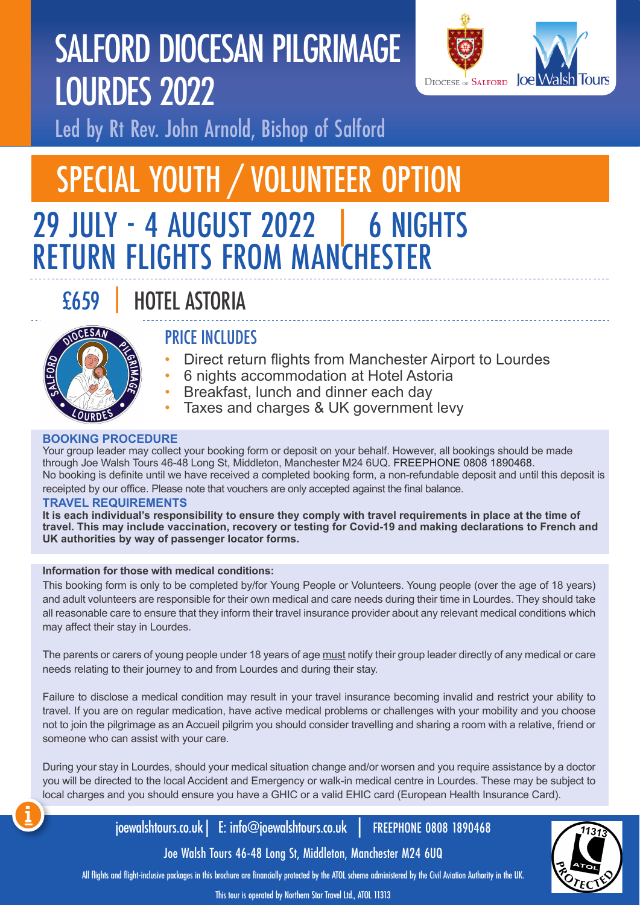# SALFORD DIOCESAN PILGRIMAGE LOURDES 2022



Led by Rt Rev. John Arnold, Bishop of Salford

## SPECIAL YOUTH / VOLUNTEER OPTION 29 JULY - 4 AUGUST 2022 | 6 NIGHTS RETURN FLIGHTS FROM MANCHESTER

## £659 | HOTEL ASTORIA



### PRICE INCLUDES

- Direct return flights from Manchester Airport to Lourdes
- 6 nights accommodation at Hotel Astoria
- Breakfast, lunch and dinner each day
- Taxes and charges & UK government levy

#### **BOOKING PROCEDURE**

Your group leader may collect your booking form or deposit on your behalf. However, all bookings should be made through Joe Walsh Tours 46-48 Long St, Middleton, Manchester M24 6UQ. FREEPHONE 0808 1890468. No booking is definite until we have received a completed booking form, a non-refundable deposit and until this deposit is receipted by our office. Please note that vouchers are only accepted against the final balance.

#### **TRAVEL REQUIREMENTS**

**It is each individual's responsibility to ensure they comply with travel requirements in place at the time of travel. This may include vaccination, recovery or testing for Covid-19 and making declarations to French and UK authorities by way of passenger locator forms.**

#### **Information for those with medical conditions:**

This booking form is only to be completed by/for Young People or Volunteers. Young people (over the age of 18 years) and adult volunteers are responsible for their own medical and care needs during their time in Lourdes. They should take all reasonable care to ensure that they inform their travel insurance provider about any relevant medical conditions which may affect their stay in Lourdes.

The parents or carers of young people under 18 years of age must notify their group leader directly of any medical or care needs relating to their journey to and from Lourdes and during their stay.

Failure to disclose a medical condition may result in your travel insurance becoming invalid and restrict your ability to travel. If you are on regular medication, have active medical problems or challenges with your mobility and you choose not to join the pilgrimage as an Accueil pilgrim you should consider travelling and sharing a room with a relative, friend or someone who can assist with your care.

During your stay in Lourdes, should your medical situation change and/or worsen and you require assistance by a doctor you will be directed to the local Accident and Emergency or walk-in medical centre in Lourdes. These may be subject to local charges and you should ensure you have a GHIC or a valid EHIC card (European Health Insurance Card).

joewalshtours.co.uk| E: info@joewalshtours.co.uk | FREEPHONE 0808 1890468

Joe Walsh Tours 46-48 Long St, Middleton, Manchester M24 6UQ

All flights and flight-inclusive packages in this brochure are financially protected by the ATOL scheme administered by the Civil Aviation Authority in the UK.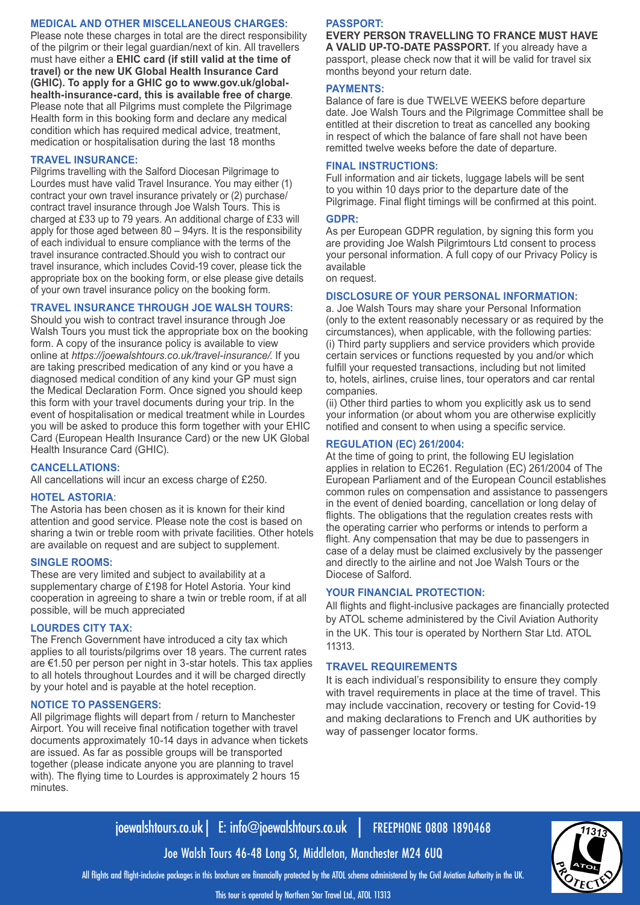#### **MEDICAL AND OTHER MISCELLANEOUS CHARGES:**

Please note these charges in total are the direct responsibility of the pilgrim or their legal guardian/next of kin. All travellers must have either a **EHIC card (if still valid at the time of travel) or the new UK Global Health Insurance Card (GHIC). To apply for a GHIC go to www.gov.uk/globalhealth-insurance-card, this is available free of charge**. Please note that all Pilgrims must complete the Pilgrimage Health form in this booking form and declare any medical condition which has required medical advice, treatment, medication or hospitalisation during the last 18 months

#### **TRAVEL INSURANCE:**

Pilgrims travelling with the Salford Diocesan Pilgrimage to Lourdes must have valid Travel Insurance. You may either (1) contract your own travel insurance privately or (2) purchase/ contract travel insurance through Joe Walsh Tours. This is charged at £33 up to 79 years. An additional charge of £33 will apply for those aged between 80 – 94yrs. It is the responsibility of each individual to ensure compliance with the terms of the travel insurance contracted.Should you wish to contract our travel insurance, which includes Covid-19 cover, please tick the appropriate box on the booking form, or else please give details of your own travel insurance policy on the booking form.

#### **TRAVEL INSURANCE THROUGH JOE WALSH TOURS:**

Should you wish to contract travel insurance through Joe Walsh Tours you must tick the appropriate box on the booking form. A copy of the insurance policy is available to view online at *https://joewalshtours.co.uk/travel-insurance/*. If you are taking prescribed medication of any kind or you have a diagnosed medical condition of any kind your GP must sign the Medical Declaration Form. Once signed you should keep this form with your travel documents during your trip. In the event of hospitalisation or medical treatment while in Lourdes you will be asked to produce this form together with your EHIC Card (European Health Insurance Card) or the new UK Global Health Insurance Card (GHIC).

#### **CANCELLATIONS:**

All cancellations will incur an excess charge of £250.

#### **HOTEL ASTORIA**:

The Astoria has been chosen as it is known for their kind attention and good service. Please note the cost is based on sharing a twin or treble room with private facilities. Other hotels are available on request and are subject to supplement.

#### **SINGLE ROOMS:**

These are very limited and subject to availability at a supplementary charge of £198 for Hotel Astoria. Your kind cooperation in agreeing to share a twin or treble room, if at all possible, will be much appreciated

#### **LOURDES CITY TAX:**

The French Government have introduced a city tax which applies to all tourists/pilgrims over 18 years. The current rates are €1.50 per person per night in 3-star hotels. This tax applies to all hotels throughout Lourdes and it will be charged directly by your hotel and is payable at the hotel reception.

#### **NOTICE TO PASSENGERS:**

All pilgrimage flights will depart from / return to Manchester Airport. You will receive final notification together with travel documents approximately 10-14 days in advance when tickets are issued. As far as possible groups will be transported together (please indicate anyone you are planning to travel with). The flying time to Lourdes is approximately 2 hours 15 minutes.

#### **PASSPORT:**

**EVERY PERSON TRAVELLING TO FRANCE MUST HAVE A VALID UP-TO-DATE PASSPORT.** If you already have a passport, please check now that it will be valid for travel six months beyond your return date.

#### **PAYMENTS:**

Balance of fare is due TWELVE WEEKS before departure date. Joe Walsh Tours and the Pilgrimage Committee shall be entitled at their discretion to treat as cancelled any booking in respect of which the balance of fare shall not have been remitted twelve weeks before the date of departure.

#### **FINAL INSTRUCTIONS:**

Full information and air tickets, luggage labels will be sent to you within 10 days prior to the departure date of the Pilgrimage. Final flight timings will be confirmed at this point.

#### **GDPR:**

As per European GDPR regulation, by signing this form you are providing Joe Walsh Pilgrimtours Ltd consent to process your personal information. A full copy of our Privacy Policy is available

on request.

#### **DISCLOSURE OF YOUR PERSONAL INFORMATION:**

a. Joe Walsh Tours may share your Personal Information (only to the extent reasonably necessary or as required by the circumstances), when applicable, with the following parties: (i) Third party suppliers and service providers which provide certain services or functions requested by you and/or which fulfill your requested transactions, including but not limited to, hotels, airlines, cruise lines, tour operators and car rental companies.

(ii) Other third parties to whom you explicitly ask us to send your information (or about whom you are otherwise explicitly notified and consent to when using a specific service.

#### **REGULATION (EC) 261/2004:**

At the time of going to print, the following EU legislation applies in relation to EC261. Regulation (EC) 261/2004 of The European Parliament and of the European Council establishes common rules on compensation and assistance to passengers in the event of denied boarding, cancellation or long delay of flights. The obligations that the regulation creates rests with the operating carrier who performs or intends to perform a flight. Any compensation that may be due to passengers in case of a delay must be claimed exclusively by the passenger and directly to the airline and not Joe Walsh Tours or the Diocese of Salford.

#### **YOUR FINANCIAL PROTECTION:**

All flights and flight-inclusive packages are financially protected by ATOL scheme administered by the Civil Aviation Authority in the UK. This tour is operated by Northern Star Ltd. ATOL 11313.

#### **TRAVEL REQUIREMENTS**

It is each individual's responsibility to ensure they comply with travel requirements in place at the time of travel. This may include vaccination, recovery or testing for Covid-19 and making declarations to French and UK authorities by way of passenger locator forms.

### joewalshtours.co.uk| E: info@joewalshtours.co.uk | FREEPHONE 0808 1890468

Joe Walsh Tours 46-48 Long St, Middleton, Manchester M24 6UQ All flights and flight-inclusive packages in this brochure are financially protected by the ATOL scheme administered by the Civil Aviation Authority in the UK.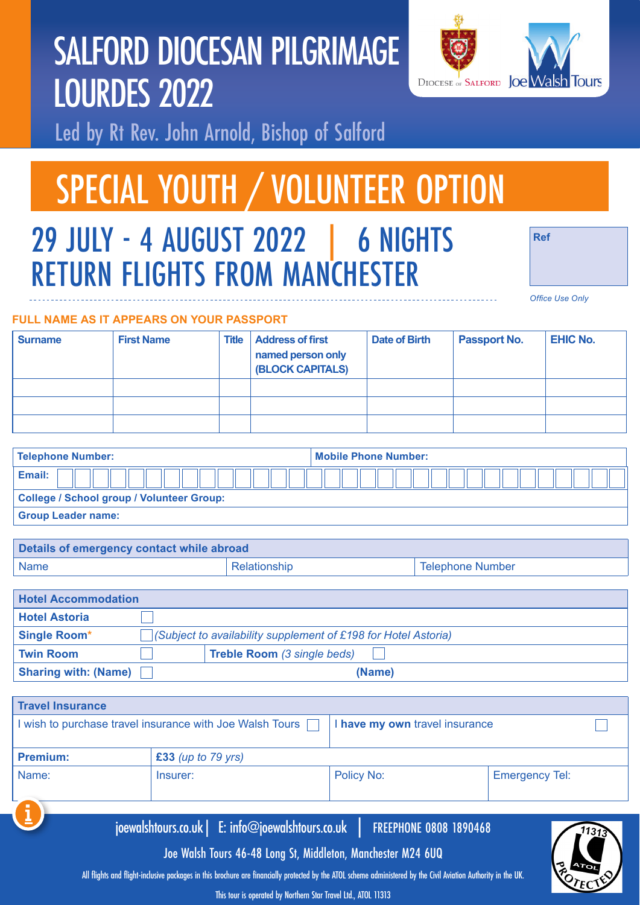

# SALFORD DIOCESAN PILGRIMAGE LOURDES 2022

Led by Rt Rev. John Arnold, Bishop of Salford

# SPECIAL YOUTH / VOLUNTEER OPTION

## 29 JULY - 4 AUGUST 2022 | 6 NIGHTS RETURN FLIGHTS FROM MANCHESTER

*Office Use Only*

**Ref**

#### **FULL NAME AS IT APPEARS ON YOUR PASSPORT**

| <b>Surname</b> | <b>First Name</b> | <b>Title</b> | <b>Address of first</b><br>named person only<br><b>(BLOCK CAPITALS)</b> | Date of Birth | <b>Passport No.</b> | <b>EHIC No.</b> |
|----------------|-------------------|--------------|-------------------------------------------------------------------------|---------------|---------------------|-----------------|
|                |                   |              |                                                                         |               |                     |                 |
|                |                   |              |                                                                         |               |                     |                 |
|                |                   |              |                                                                         |               |                     |                 |

| <b>Telephone Number:</b>                  | <b>Mobile Phone Number:</b> |
|-------------------------------------------|-----------------------------|
| Email:                                    |                             |
| College / School group / Volunteer Group: |                             |
| <b>Group Leader name:</b>                 |                             |

| Details of emergency contact while abroad |              |                         |  |
|-------------------------------------------|--------------|-------------------------|--|
| Name                                      | Relationship | <b>Telephone Number</b> |  |

| <b>Hotel Accommodation</b>  |                                                                        |
|-----------------------------|------------------------------------------------------------------------|
| <b>Hotel Astoria</b>        |                                                                        |
| <b>Single Room*</b>         | $\vert$ (Subject to availability supplement of £198 for Hotel Astoria) |
| <b>Twin Room</b>            | <b>Treble Room</b> (3 single beds)                                     |
| <b>Sharing with: (Name)</b> | (Name)                                                                 |

| <b>Travel Insurance</b> |                                                          |            |                                |  |  |
|-------------------------|----------------------------------------------------------|------------|--------------------------------|--|--|
|                         | I wish to purchase travel insurance with Joe Walsh Tours |            | I have my own travel insurance |  |  |
| <b>Premium:</b>         | $£33$ (up to 79 yrs)                                     |            |                                |  |  |
| Name:                   | Insurer:                                                 | Policy No: | <b>Emergency Tel:</b>          |  |  |
| (i                      | joewalshtours.co.uk   E: info@joewalshtours.co.uk        |            | <b>FREEPHONE 0808 1890468</b>  |  |  |

Joe Walsh Tours 46-48 Long St, Middleton, Manchester M24 6UQ

All flights and flight-inclusive packages in this brochure are financially protected by the ATOL scheme administered by the Civil Aviation Authority in the UK.

This tour is operated by Northern Star Travel Ltd., ATOL 11313